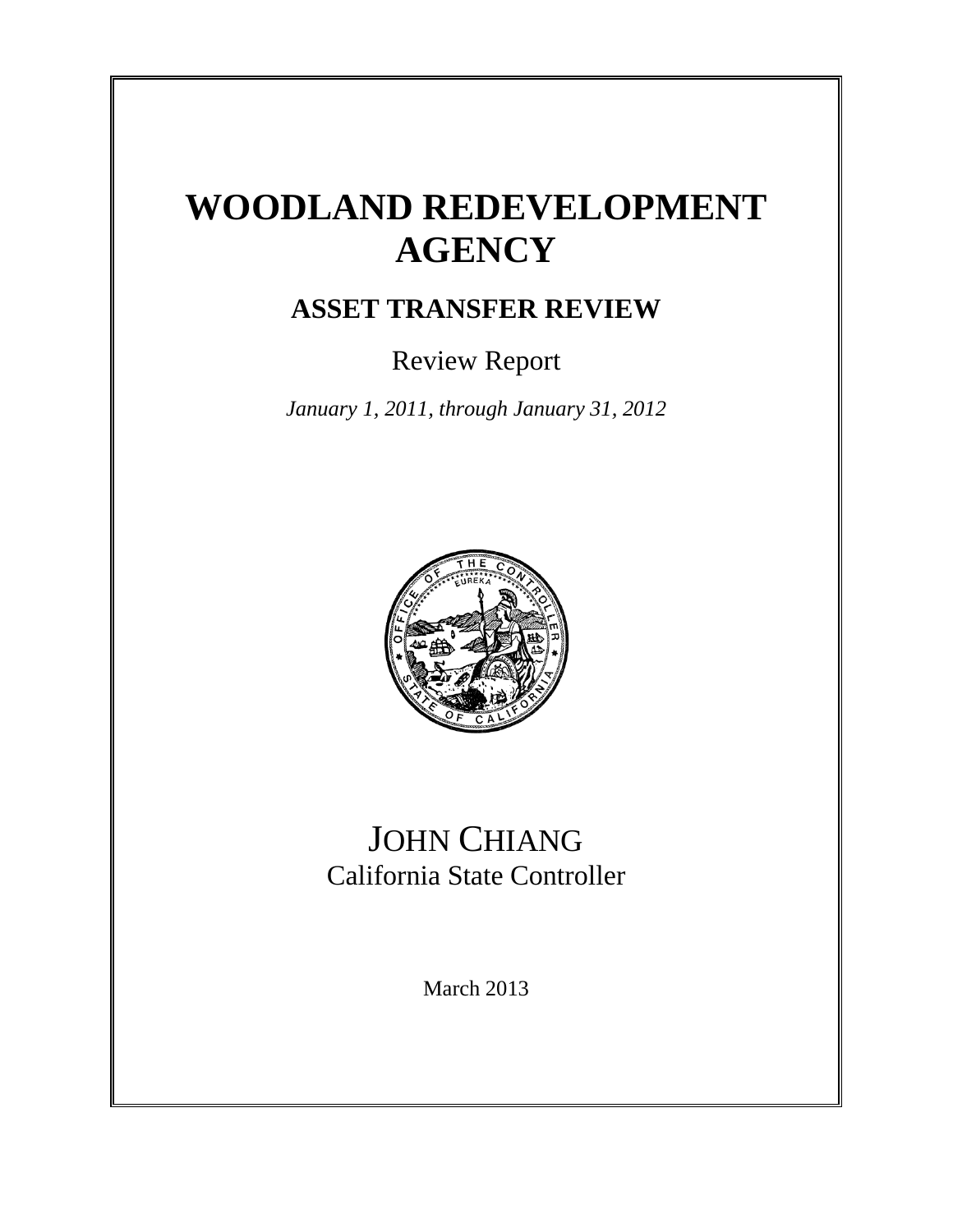# **WOODLAND REDEVELOPMENT AGENCY**

### **ASSET TRANSFER REVIEW**

Review Report

*January 1, 2011, through January 31, 2012*



### JOHN CHIANG California State Controller

March 2013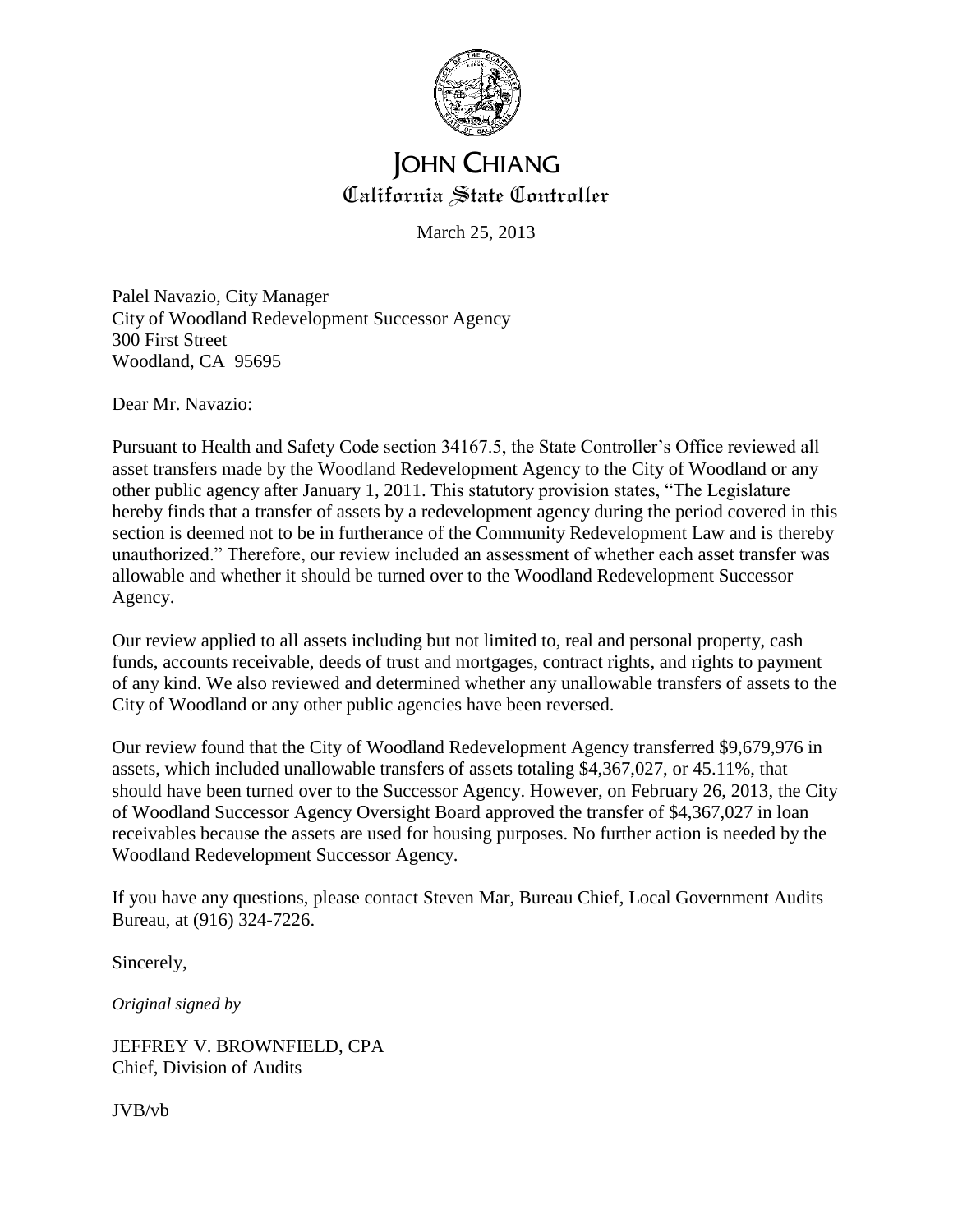

#### **JOHN CHIANG** California State Controller

March 25, 2013

Palel Navazio, City Manager City of Woodland Redevelopment Successor Agency 300 First Street Woodland, CA 95695

Dear Mr. Navazio:

Pursuant to Health and Safety Code section 34167.5, the State Controller's Office reviewed all asset transfers made by the Woodland Redevelopment Agency to the City of Woodland or any other public agency after January 1, 2011. This statutory provision states, "The Legislature hereby finds that a transfer of assets by a redevelopment agency during the period covered in this section is deemed not to be in furtherance of the Community Redevelopment Law and is thereby unauthorized." Therefore, our review included an assessment of whether each asset transfer was allowable and whether it should be turned over to the Woodland Redevelopment Successor Agency.

Our review applied to all assets including but not limited to, real and personal property, cash funds, accounts receivable, deeds of trust and mortgages, contract rights, and rights to payment of any kind. We also reviewed and determined whether any unallowable transfers of assets to the City of Woodland or any other public agencies have been reversed.

Our review found that the City of Woodland Redevelopment Agency transferred \$9,679,976 in assets, which included unallowable transfers of assets totaling \$4,367,027, or 45.11%, that should have been turned over to the Successor Agency. However, on February 26, 2013, the City of Woodland Successor Agency Oversight Board approved the transfer of \$4,367,027 in loan receivables because the assets are used for housing purposes. No further action is needed by the Woodland Redevelopment Successor Agency.

If you have any questions, please contact Steven Mar, Bureau Chief, Local Government Audits Bureau, at (916) 324-7226.

Sincerely,

*Original signed by*

JEFFREY V. BROWNFIELD, CPA Chief, Division of Audits

JVB/vb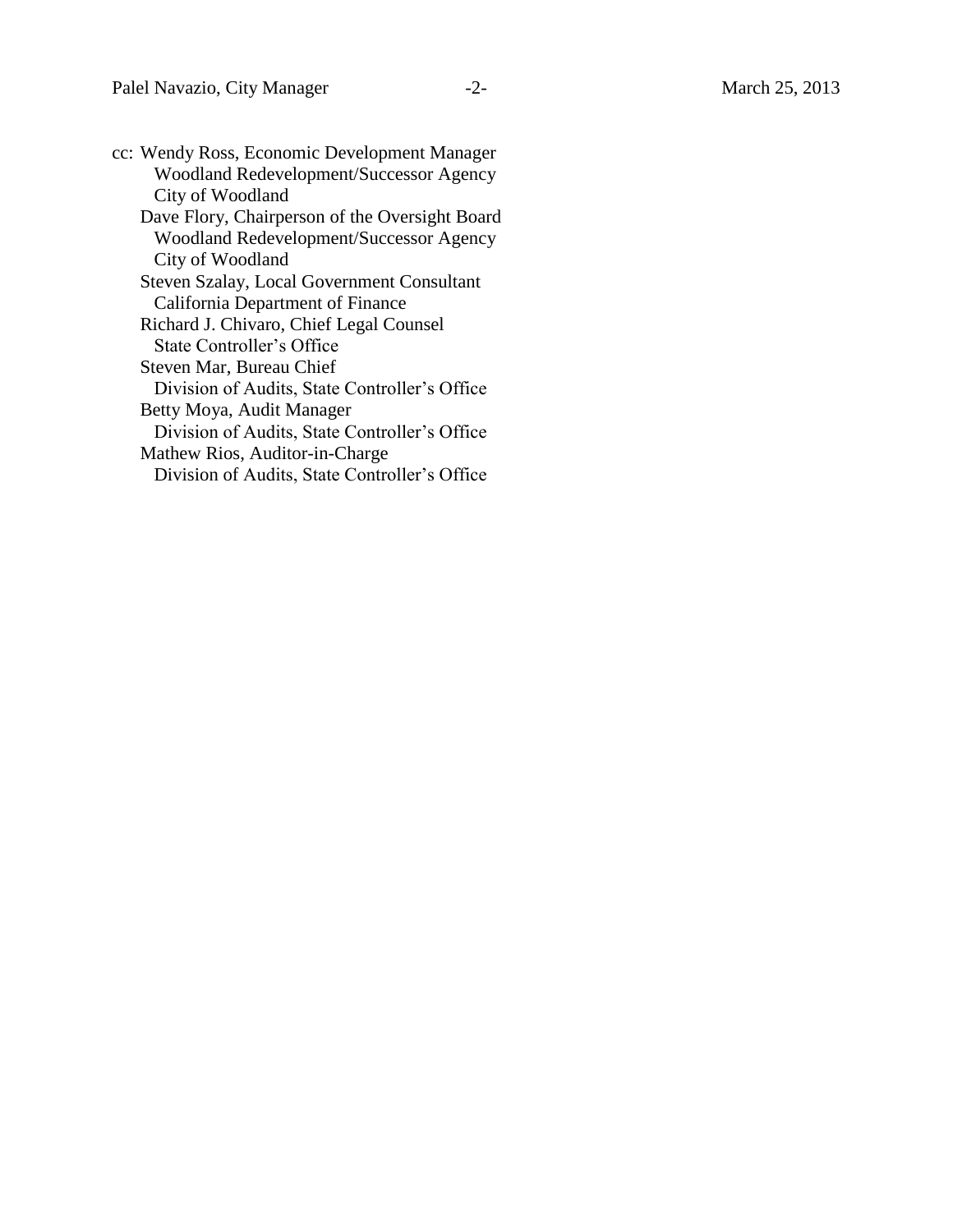| cc: Wendy Ross, Economic Development Manager   |
|------------------------------------------------|
| <b>Woodland Redevelopment/Successor Agency</b> |
| City of Woodland                               |
| Dave Flory, Chairperson of the Oversight Board |
| <b>Woodland Redevelopment/Successor Agency</b> |
| City of Woodland                               |
| Steven Szalay, Local Government Consultant     |
| California Department of Finance               |
| Richard J. Chivaro, Chief Legal Counsel        |
| State Controller's Office                      |
| Steven Mar, Bureau Chief                       |
| Division of Audits, State Controller's Office  |
| Betty Moya, Audit Manager                      |
| Division of Audits, State Controller's Office  |
| Mathew Rios, Auditor-in-Charge                 |
| Division of Audits, State Controller's Office  |
|                                                |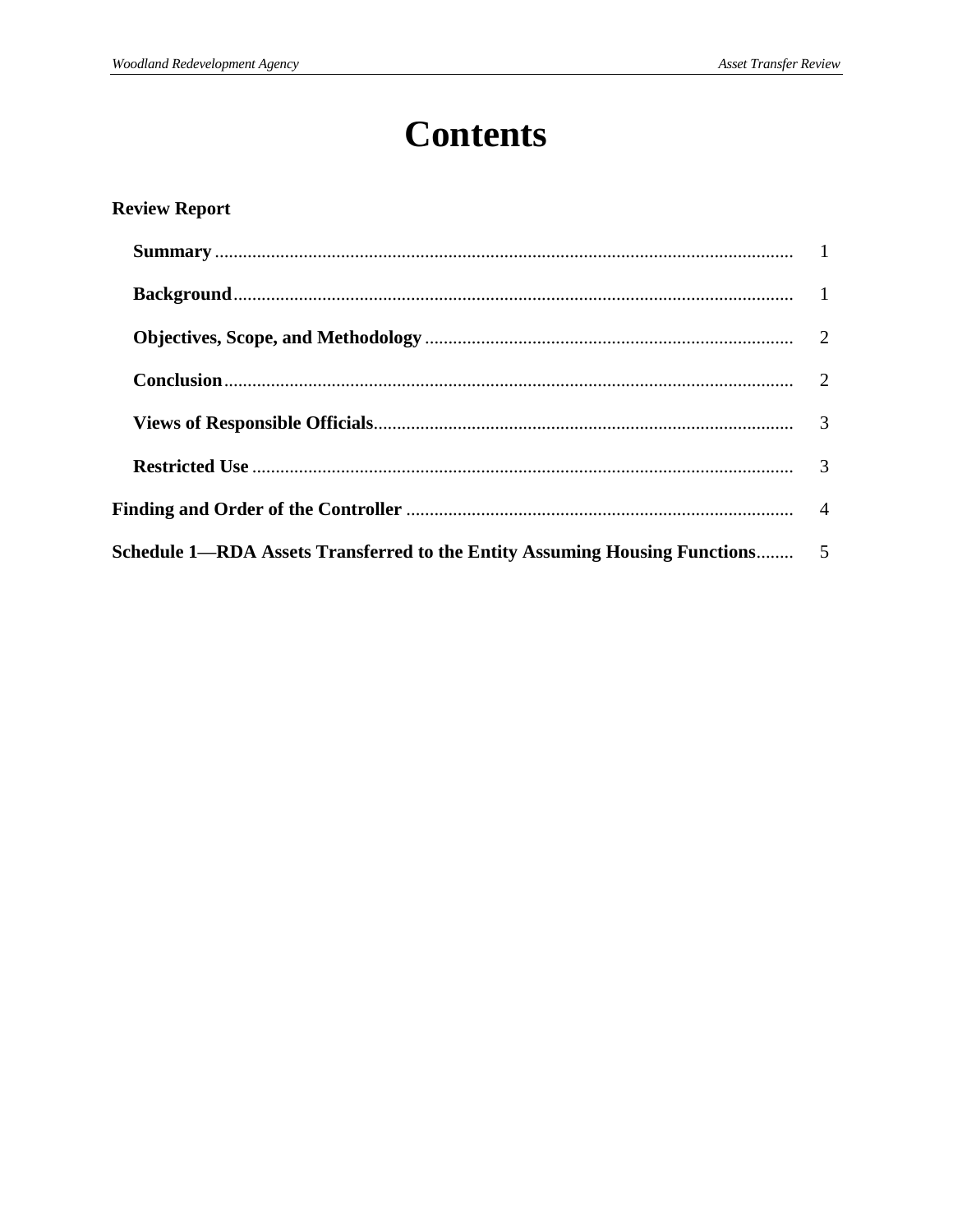## **Contents**

#### **Review Report**

| Schedule 1—RDA Assets Transferred to the Entity Assuming Housing Functions 5 |  |  |
|------------------------------------------------------------------------------|--|--|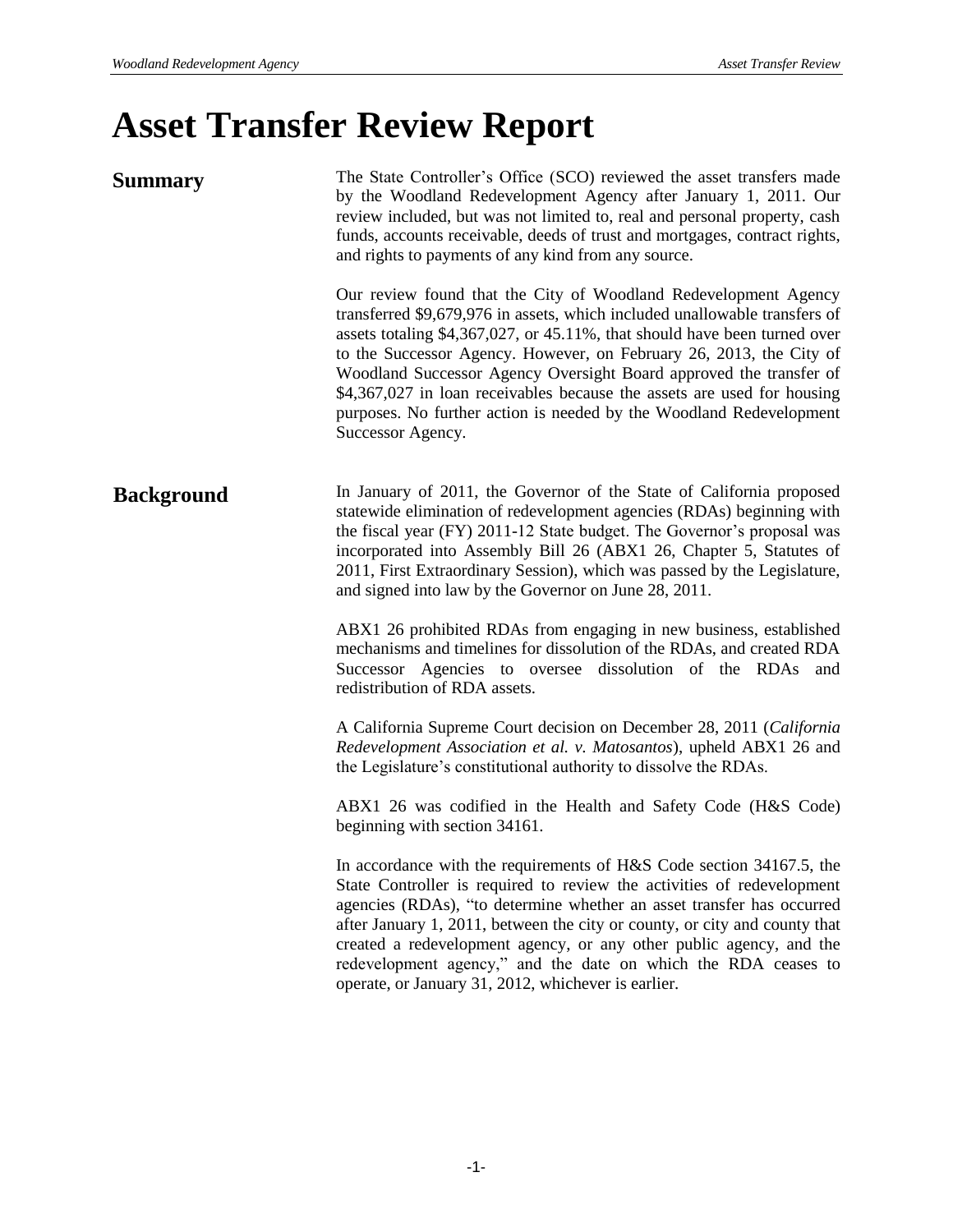# **Asset Transfer Review Report**

| <b>Summary</b>    | The State Controller's Office (SCO) reviewed the asset transfers made<br>by the Woodland Redevelopment Agency after January 1, 2011. Our<br>review included, but was not limited to, real and personal property, cash<br>funds, accounts receivable, deeds of trust and mortgages, contract rights,<br>and rights to payments of any kind from any source.                                                                                                                                                                                     |
|-------------------|------------------------------------------------------------------------------------------------------------------------------------------------------------------------------------------------------------------------------------------------------------------------------------------------------------------------------------------------------------------------------------------------------------------------------------------------------------------------------------------------------------------------------------------------|
|                   | Our review found that the City of Woodland Redevelopment Agency<br>transferred \$9,679,976 in assets, which included unallowable transfers of<br>assets totaling \$4,367,027, or 45.11%, that should have been turned over<br>to the Successor Agency. However, on February 26, 2013, the City of<br>Woodland Successor Agency Oversight Board approved the transfer of<br>\$4,367,027 in loan receivables because the assets are used for housing<br>purposes. No further action is needed by the Woodland Redevelopment<br>Successor Agency. |
| <b>Background</b> | In January of 2011, the Governor of the State of California proposed<br>statewide elimination of redevelopment agencies (RDAs) beginning with<br>the fiscal year (FY) 2011-12 State budget. The Governor's proposal was<br>incorporated into Assembly Bill 26 (ABX1 26, Chapter 5, Statutes of<br>2011, First Extraordinary Session), which was passed by the Legislature,<br>and signed into law by the Governor on June 28, 2011.                                                                                                            |
|                   | ABX1 26 prohibited RDAs from engaging in new business, established<br>mechanisms and timelines for dissolution of the RDAs, and created RDA<br>Successor Agencies to oversee dissolution of the RDAs and<br>redistribution of RDA assets.                                                                                                                                                                                                                                                                                                      |
|                   | A California Supreme Court decision on December 28, 2011 (California<br>Redevelopment Association et al. v. Matosantos), upheld ABX1 26 and<br>the Legislature's constitutional authority to dissolve the RDAs.                                                                                                                                                                                                                                                                                                                                |
|                   | ABX1 26 was codified in the Health and Safety Code (H&S Code)<br>beginning with section 34161.                                                                                                                                                                                                                                                                                                                                                                                                                                                 |
|                   | In accordance with the requirements of H&S Code section 34167.5, the<br>State Controller is required to review the activities of redevelopment<br>agencies (RDAs), "to determine whether an asset transfer has occurred<br>after January 1, 2011, between the city or county, or city and county that<br>created a redevelopment agency, or any other public agency, and the<br>redevelopment agency," and the date on which the RDA ceases to<br>operate, or January 31, 2012, whichever is earlier.                                          |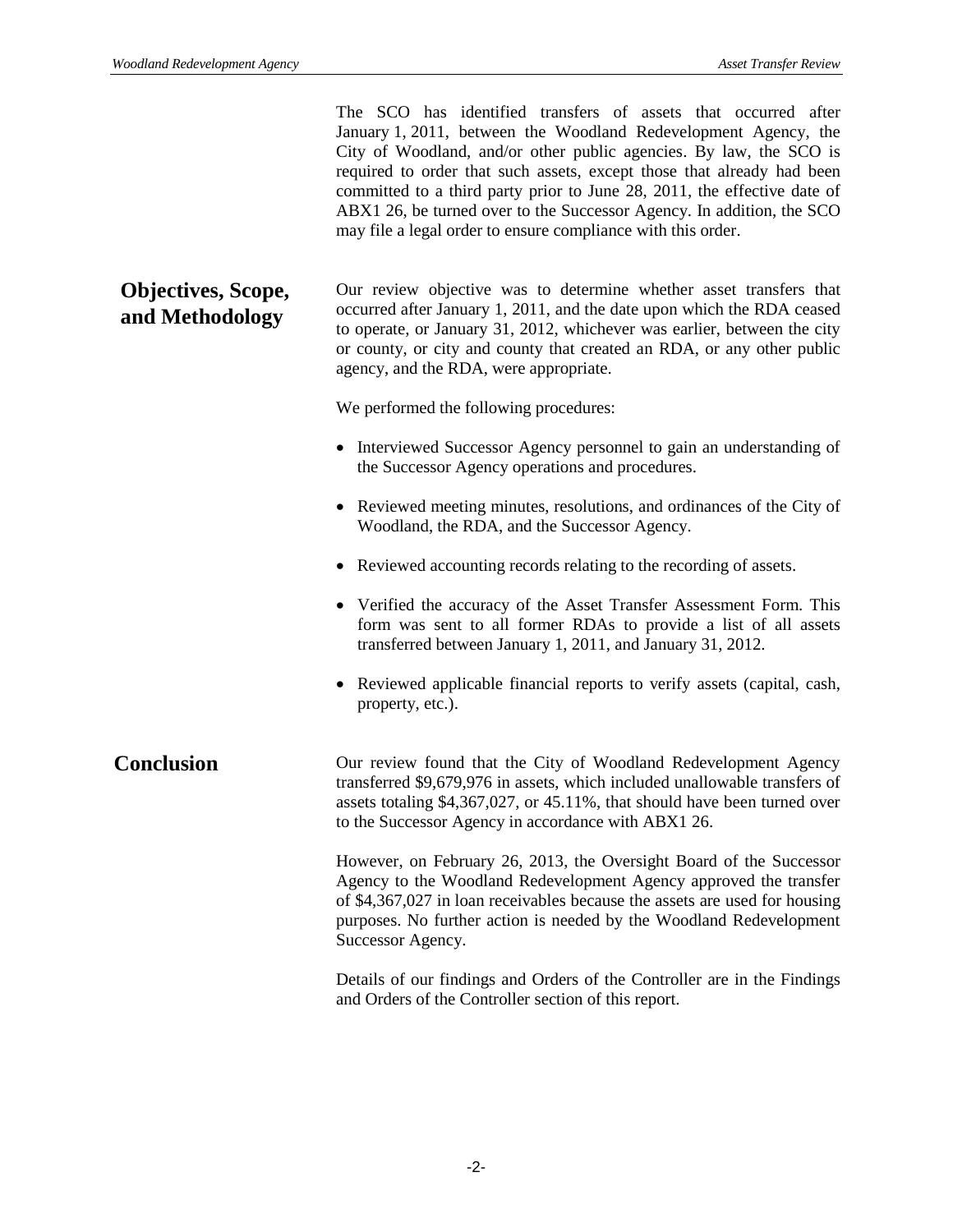The SCO has identified transfers of assets that occurred after January 1, 2011, between the Woodland Redevelopment Agency, the City of Woodland, and/or other public agencies. By law, the SCO is required to order that such assets, except those that already had been committed to a third party prior to June 28, 2011, the effective date of ABX1 26, be turned over to the Successor Agency. In addition, the SCO may file a legal order to ensure compliance with this order.

Our review objective was to determine whether asset transfers that occurred after January 1, 2011, and the date upon which the RDA ceased to operate, or January 31, 2012, whichever was earlier, between the city or county, or city and county that created an RDA, or any other public agency, and the RDA, were appropriate. **Objectives, Scope, and Methodology**

We performed the following procedures:

- Interviewed Successor Agency personnel to gain an understanding of the Successor Agency operations and procedures.
- Reviewed meeting minutes, resolutions, and ordinances of the City of Woodland, the RDA, and the Successor Agency.
- Reviewed accounting records relating to the recording of assets.
- Verified the accuracy of the Asset Transfer Assessment Form. This form was sent to all former RDAs to provide a list of all assets transferred between January 1, 2011, and January 31, 2012.
- Reviewed applicable financial reports to verify assets (capital, cash, property, etc.).

#### Our review found that the City of Woodland Redevelopment Agency transferred \$9,679,976 in assets, which included unallowable transfers of assets totaling \$4,367,027, or 45.11%, that should have been turned over to the Successor Agency in accordance with ABX1 26. **Conclusion**

However, on February 26, 2013, the Oversight Board of the Successor Agency to the Woodland Redevelopment Agency approved the transfer of \$4,367,027 in loan receivables because the assets are used for housing purposes. No further action is needed by the Woodland Redevelopment Successor Agency.

Details of our findings and Orders of the Controller are in the Findings and Orders of the Controller section of this report.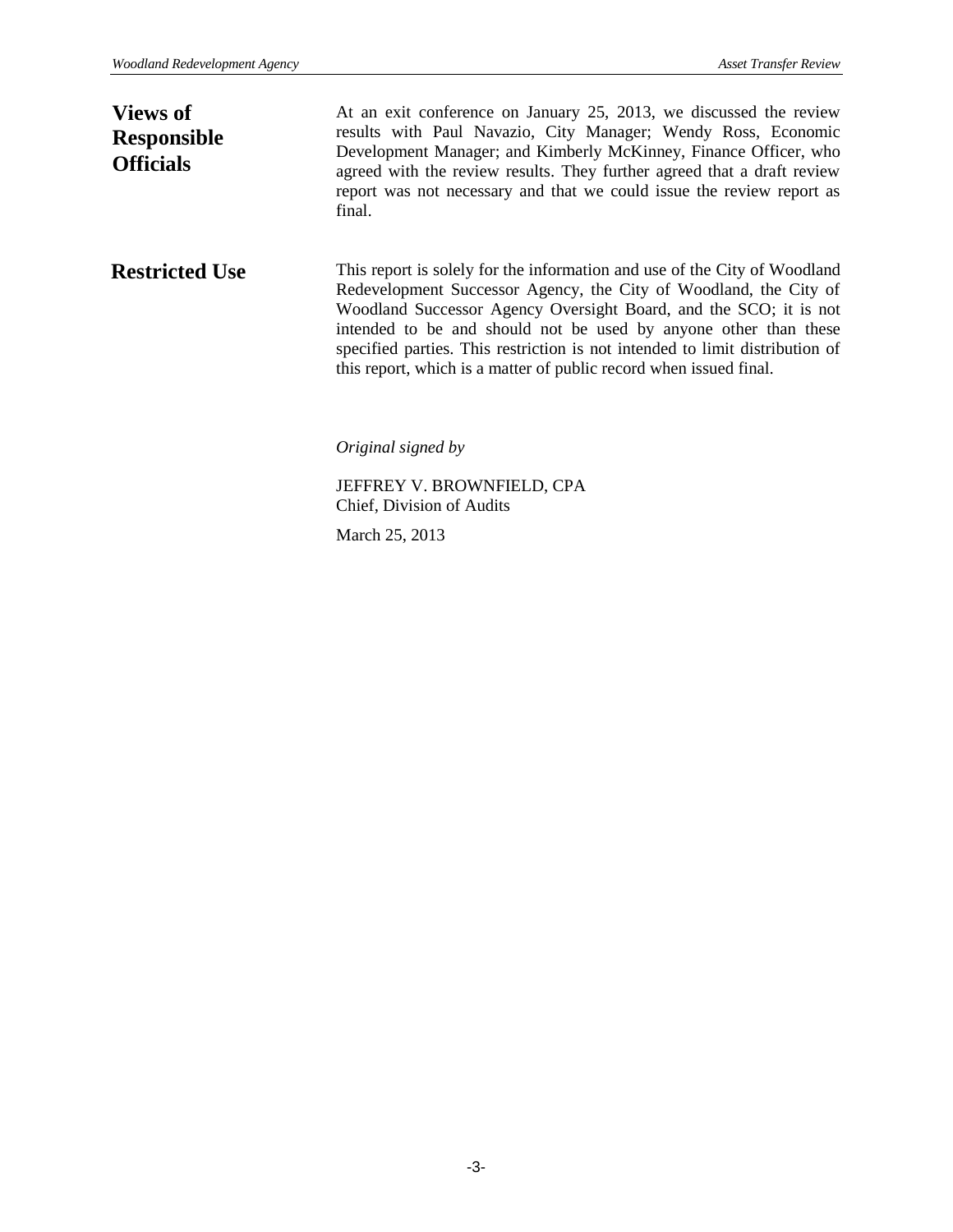At an exit conference on January 25, 2013, we discussed the review results with Paul Navazio, City Manager; Wendy Ross, Economic Development Manager; and Kimberly McKinney, Finance Officer, who agreed with the review results. They further agreed that a draft review report was not necessary and that we could issue the review report as final. This report is solely for the information and use of the City of Woodland Redevelopment Successor Agency, the City of Woodland, the City of Woodland Successor Agency Oversight Board, and the SCO; it is not intended to be and should not be used by anyone other than these specified parties. This restriction is not intended to limit distribution of this report, which is a matter of public record when issued final. *Original signed by* JEFFREY V. BROWNFIELD, CPA Chief, Division of Audits **Restricted Use Views of Responsible Officials**

March 25, 2013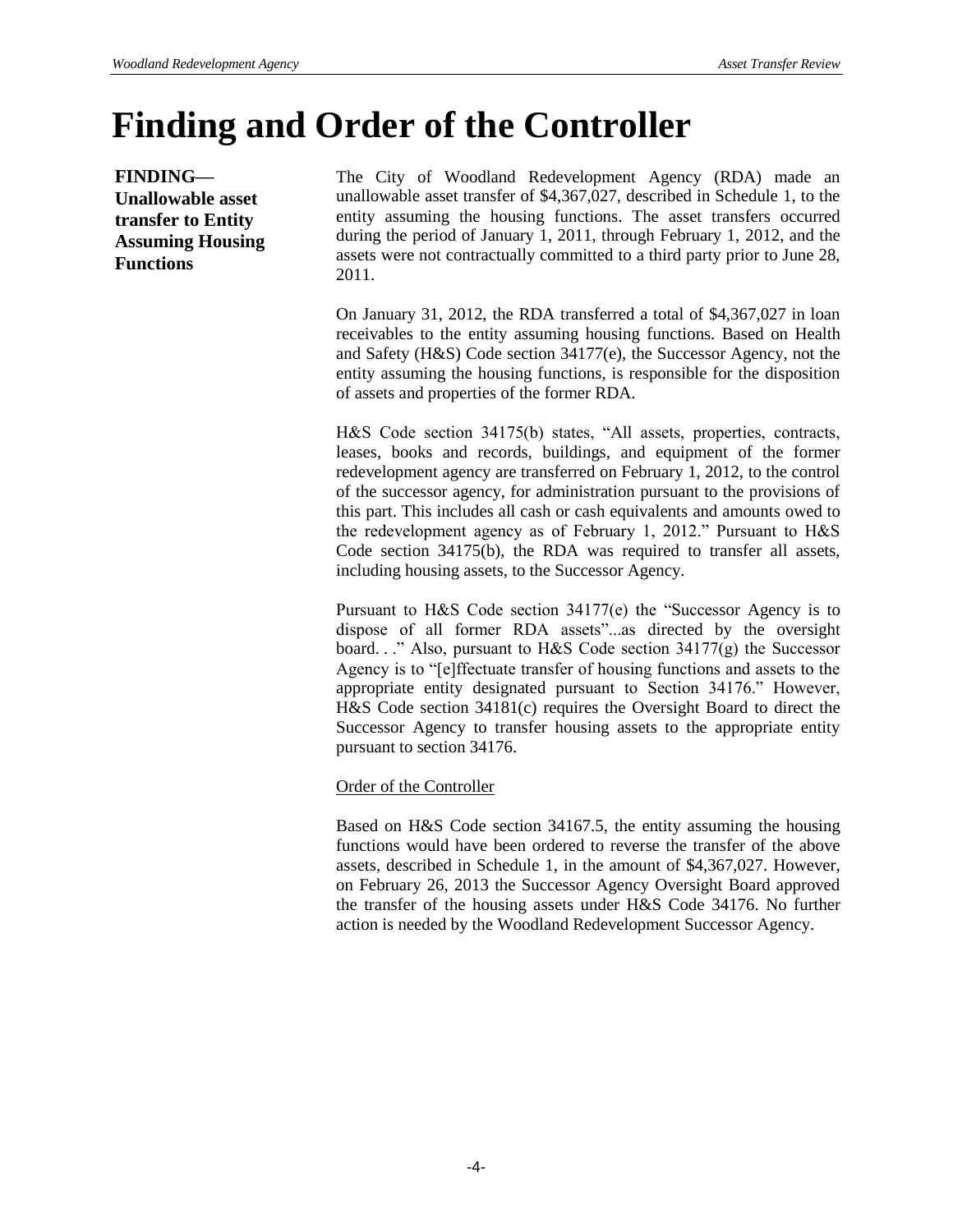## **Finding and Order of the Controller**

**FINDING— Unallowable asset transfer to Entity Assuming Housing Functions**

The City of Woodland Redevelopment Agency (RDA) made an unallowable asset transfer of \$4,367,027, described in Schedule 1, to the entity assuming the housing functions. The asset transfers occurred during the period of January 1, 2011, through February 1, 2012, and the assets were not contractually committed to a third party prior to June 28, 2011.

On January 31, 2012, the RDA transferred a total of \$4,367,027 in loan receivables to the entity assuming housing functions. Based on Health and Safety (H&S) Code section 34177(e), the Successor Agency, not the entity assuming the housing functions, is responsible for the disposition of assets and properties of the former RDA.

H&S Code section 34175(b) states, "All assets, properties, contracts, leases, books and records, buildings, and equipment of the former redevelopment agency are transferred on February 1, 2012, to the control of the successor agency, for administration pursuant to the provisions of this part. This includes all cash or cash equivalents and amounts owed to the redevelopment agency as of February 1, 2012." Pursuant to H&S Code section 34175(b), the RDA was required to transfer all assets, including housing assets, to the Successor Agency.

Pursuant to H&S Code section 34177(e) the "Successor Agency is to dispose of all former RDA assets"...as directed by the oversight board. . ." Also, pursuant to H&S Code section 34177(g) the Successor Agency is to "[e]ffectuate transfer of housing functions and assets to the appropriate entity designated pursuant to Section 34176." However, H&S Code section 34181(c) requires the Oversight Board to direct the Successor Agency to transfer housing assets to the appropriate entity pursuant to section 34176.

#### Order of the Controller

Based on H&S Code section 34167.5, the entity assuming the housing functions would have been ordered to reverse the transfer of the above assets, described in Schedule 1, in the amount of \$4,367,027. However, on February 26, 2013 the Successor Agency Oversight Board approved the transfer of the housing assets under H&S Code 34176. No further action is needed by the Woodland Redevelopment Successor Agency.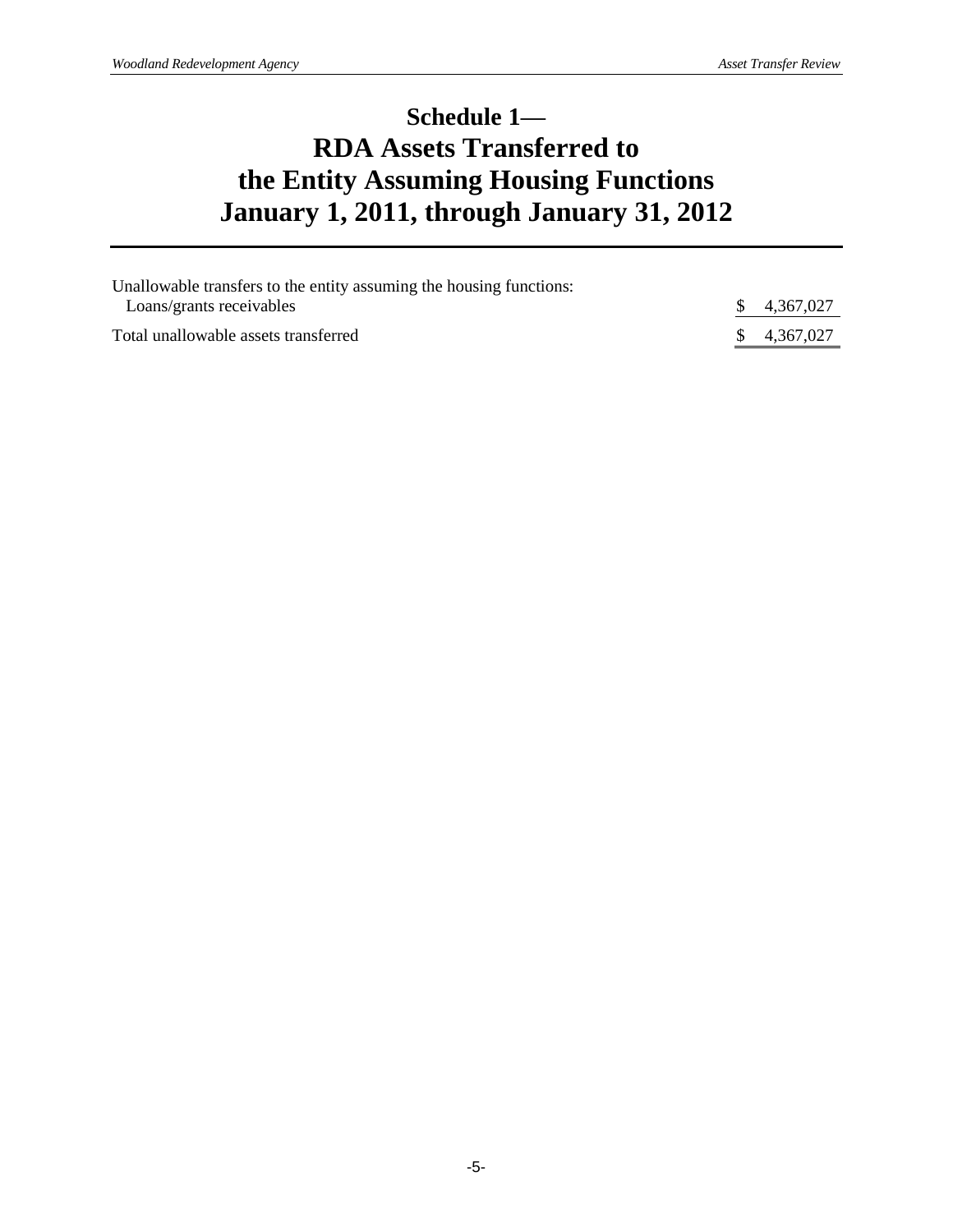### **Schedule 1— RDA Assets Transferred to the Entity Assuming Housing Functions January 1, 2011, through January 31, 2012**

| Unallowable transfers to the entity assuming the housing functions: |  |             |  |  |
|---------------------------------------------------------------------|--|-------------|--|--|
| Loans/grants receivables                                            |  | \$4,367,027 |  |  |
| Total unallowable assets transferred                                |  | 4,367,027   |  |  |